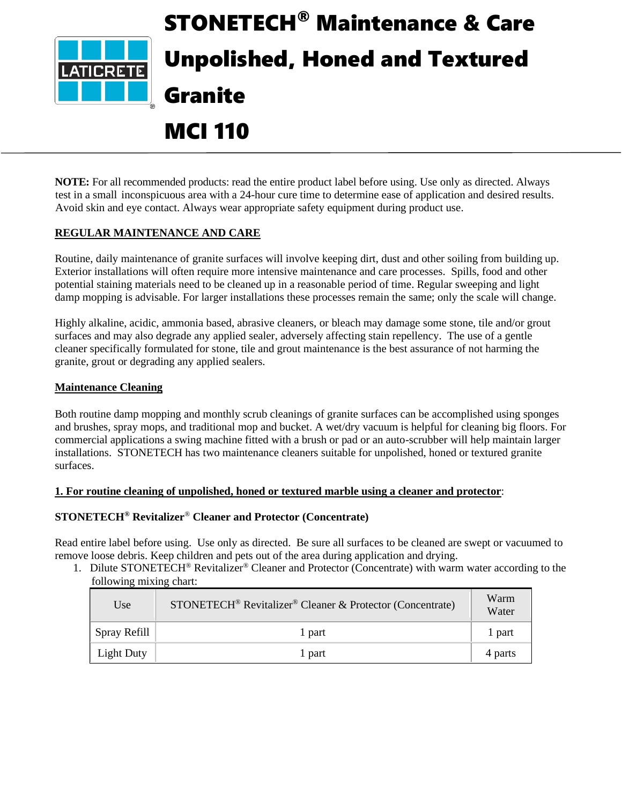

# STONETECH® Maintenance & Care Unpolished, Honed and Textured Granite

# MCI 110

**NOTE:** For all recommended products: read the entire product label before using. Use only as directed. Always test in a small inconspicuous area with a 24-hour cure time to determine ease of application and desired results. Avoid skin and eye contact. Always wear appropriate safety equipment during product use.

# **REGULAR MAINTENANCE AND CARE**

Routine, daily maintenance of granite surfaces will involve keeping dirt, dust and other soiling from building up. Exterior installations will often require more intensive maintenance and care processes. Spills, food and other potential staining materials need to be cleaned up in a reasonable period of time. Regular sweeping and light damp mopping is advisable. For larger installations these processes remain the same; only the scale will change.

Highly alkaline, acidic, ammonia based, abrasive cleaners, or bleach may damage some stone, tile and/or grout surfaces and may also degrade any applied sealer, adversely affecting stain repellency. The use of a gentle cleaner specifically formulated for stone, tile and grout maintenance is the best assurance of not harming the granite, grout or degrading any applied sealers.

# **Maintenance Cleaning**

Both routine damp mopping and monthly scrub cleanings of granite surfaces can be accomplished using sponges and brushes, spray mops, and traditional mop and bucket. A wet/dry vacuum is helpful for cleaning big floors. For commercial applications a swing machine fitted with a brush or pad or an auto-scrubber will help maintain larger installations. STONETECH has two maintenance cleaners suitable for unpolished, honed or textured granite surfaces.

# **1. For routine cleaning of unpolished, honed or textured marble using a cleaner and protector**:

# **STONETECH® Revitalizer**® **Cleaner and Protector (Concentrate)**

Read entire label before using. Use only as directed. Be sure all surfaces to be cleaned are swept or vacuumed to remove loose debris. Keep children and pets out of the area during application and drying.

1. Dilute STONETECH<sup>®</sup> Revitalizer® Cleaner and Protector (Concentrate) with warm water according to the following mixing chart:

| Use          | STONETECH <sup>®</sup> Revitalizer <sup>®</sup> Cleaner & Protector (Concentrate) | Warm<br>Water |
|--------------|-----------------------------------------------------------------------------------|---------------|
| Spray Refill | l part                                                                            | 1 part        |
| Light Duty   | 1 part                                                                            | 4 parts       |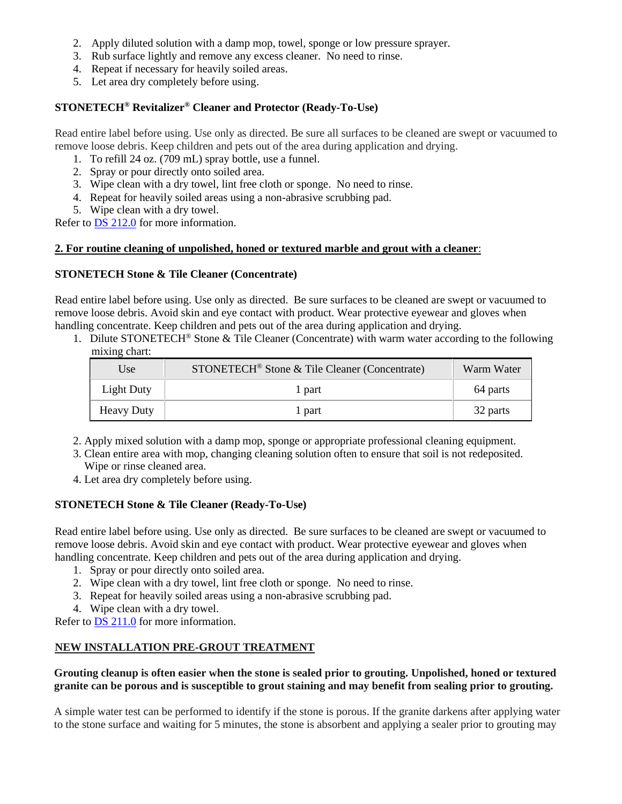- 2. Apply diluted solution with a damp mop, towel, sponge or low pressure sprayer.
- 3. Rub surface lightly and remove any excess cleaner. No need to rinse.
- 4. Repeat if necessary for heavily soiled areas.
- 5. Let area dry completely before using.

#### **STONETECH® Revitalizer® Cleaner and Protector (Ready-To-Use)**

Read entire label before using. Use only as directed. Be sure all surfaces to be cleaned are swept or vacuumed to remove loose debris. Keep children and pets out of the area during application and drying.

- 1. To refill 24 oz. (709 mL) spray bottle, use a funnel.
- 2. Spray or pour directly onto soiled area.
- 3. Wipe clean with a dry towel, lint free cloth or sponge. No need to rinse.
- 4. Repeat for heavily soiled areas using a non-abrasive scrubbing pad.
- 5. Wipe clean with a dry towel.

Refer to DS [212.0](https://cdn.laticrete.com/~/media/product-documents/product-data-sheets/ds-212.ashx) for more information.

#### **2. For routine cleaning of unpolished, honed or textured marble and grout with a cleaner**:

#### **STONETECH Stone & Tile Cleaner (Concentrate)**

Read entire label before using. Use only as directed. Be sure surfaces to be cleaned are swept or vacuumed to remove loose debris. Avoid skin and eye contact with product. Wear protective eyewear and gloves when handling concentrate. Keep children and pets out of the area during application and drying.

1. Dilute STONETECH<sup>®</sup> Stone & Tile Cleaner (Concentrate) with warm water according to the following mixing chart:

| Use               | STONETECH <sup>®</sup> Stone & Tile Cleaner (Concentrate) | Warm Water |
|-------------------|-----------------------------------------------------------|------------|
| <b>Light Duty</b> | l part                                                    | 64 parts   |
| <b>Heavy Duty</b> | l part                                                    | 32 parts   |

- 2. Apply mixed solution with a damp mop, sponge or appropriate professional cleaning equipment.
- 3. Clean entire area with mop, changing cleaning solution often to ensure that soil is not redeposited. Wipe or rinse cleaned area.
- 4. Let area dry completely before using.

# **STONETECH Stone & Tile Cleaner (Ready-To-Use)**

Read entire label before using. Use only as directed. Be sure surfaces to be cleaned are swept or vacuumed to remove loose debris. Avoid skin and eye contact with product. Wear protective eyewear and gloves when handling concentrate. Keep children and pets out of the area during application and drying.

- 1. Spray or pour directly onto soiled area.
- 2. Wipe clean with a dry towel, lint free cloth or sponge. No need to rinse.
- 3. Repeat for heavily soiled areas using a non-abrasive scrubbing pad.
- 4. Wipe clean with a dry towel.

Refer to DS [211.0](https://cdn.laticrete.com/~/media/product-documents/product-data-sheets/ds-211.ashx) for more information.

# **NEW INSTALLATION PRE-GROUT TREATMENT**

#### **Grouting cleanup is often easier when the stone is sealed prior to grouting. Unpolished, honed or textured granite can be porous and is susceptible to grout staining and may benefit from sealing prior to grouting.**

A simple water test can be performed to identify if the stone is porous. If the granite darkens after applying water to the stone surface and waiting for 5 minutes, the stone is absorbent and applying a sealer prior to grouting may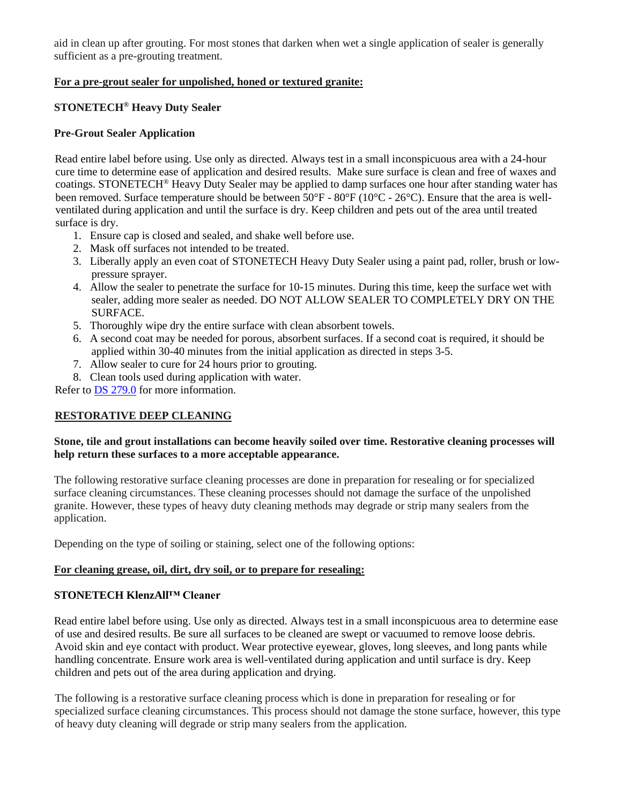aid in clean up after grouting. For most stones that darken when wet a single application of sealer is generally sufficient as a pre-grouting treatment.

#### **For a pre-grout sealer for unpolished, honed or textured granite:**

# **STONETECH® Heavy Duty Sealer**

#### **Pre-Grout Sealer Application**

Read entire label before using. Use only as directed. Always test in a small inconspicuous area with a 24-hour cure time to determine ease of application and desired results. Make sure surface is clean and free of waxes and coatings. STONETECH® Heavy Duty Sealer may be applied to damp surfaces one hour after standing water has been removed. Surface temperature should be between 50°F - 80°F (10°C - 26°C). Ensure that the area is wellventilated during application and until the surface is dry. Keep children and pets out of the area until treated surface is dry.

- 1. Ensure cap is closed and sealed, and shake well before use.
- 2. Mask off surfaces not intended to be treated.
- 3. Liberally apply an even coat of STONETECH Heavy Duty Sealer using a paint pad, roller, brush or lowpressure sprayer.
- 4. Allow the sealer to penetrate the surface for 10-15 minutes. During this time, keep the surface wet with sealer, adding more sealer as needed. DO NOT ALLOW SEALER TO COMPLETELY DRY ON THE SURFACE.
- 5. Thoroughly wipe dry the entire surface with clean absorbent towels.
- 6. A second coat may be needed for porous, absorbent surfaces. If a second coat is required, it should be applied within 30-40 minutes from the initial application as directed in steps 3-5.
- 7. Allow sealer to cure for 24 hours prior to grouting.
- 8. Clean tools used during application with water.

Refer to DS [279.0](https://cdn.laticrete.com/~/media/product-documents/product-data-sheets/ds-279.ashx) for more information.

# **RESTORATIVE DEEP CLEANING**

#### **Stone, tile and grout installations can become heavily soiled over time. Restorative cleaning processes will help return these surfaces to a more acceptable appearance.**

The following restorative surface cleaning processes are done in preparation for resealing or for specialized surface cleaning circumstances. These cleaning processes should not damage the surface of the unpolished granite. However, these types of heavy duty cleaning methods may degrade or strip many sealers from the application.

Depending on the type of soiling or staining, select one of the following options:

#### **For cleaning grease, oil, dirt, dry soil, or to prepare for resealing:**

#### **STONETECH KlenzAll™ Cleaner**

Read entire label before using. Use only as directed. Always test in a small inconspicuous area to determine ease of use and desired results. Be sure all surfaces to be cleaned are swept or vacuumed to remove loose debris. Avoid skin and eye contact with product. Wear protective eyewear, gloves, long sleeves, and long pants while handling concentrate. Ensure work area is well-ventilated during application and until surface is dry. Keep children and pets out of the area during application and drying.

The following is a restorative surface cleaning process which is done in preparation for resealing or for specialized surface cleaning circumstances. This process should not damage the stone surface, however, this type of heavy duty cleaning will degrade or strip many sealers from the application.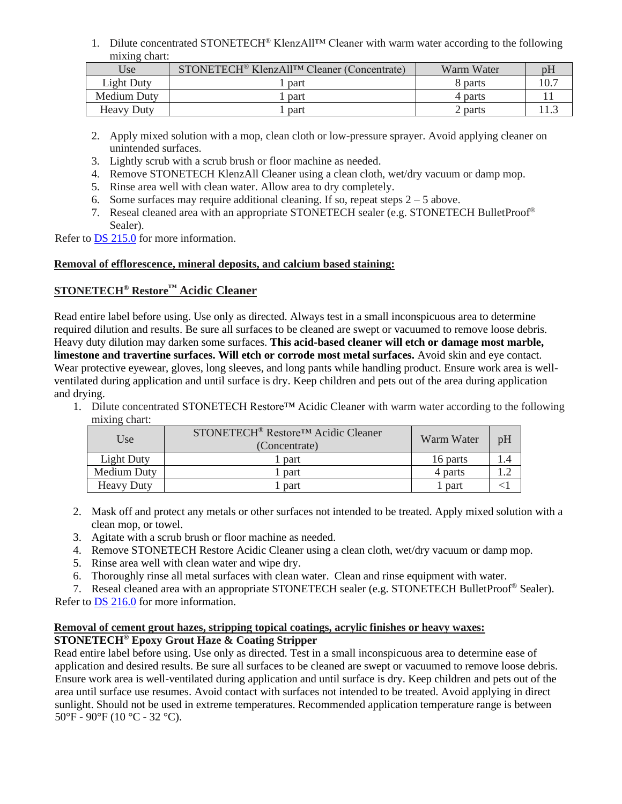1. Dilute concentrated STONETECH® KlenzAll™ Cleaner with warm water according to the following mixing chart:

| Use               | STONETECH <sup>®</sup> KlenzAll <sup>TM</sup> Cleaner (Concentrate) | Warm Water |  |
|-------------------|---------------------------------------------------------------------|------------|--|
| Light Duty        | part                                                                | 8 parts    |  |
| Medium Duty       | part                                                                | 4 parts    |  |
| <b>Heavy Duty</b> | part                                                                | 2 parts    |  |

- 2. Apply mixed solution with a mop, clean cloth or low-pressure sprayer. Avoid applying cleaner on unintended surfaces.
- 3. Lightly scrub with a scrub brush or floor machine as needed.
- 4. Remove STONETECH KlenzAll Cleaner using a clean cloth, wet/dry vacuum or damp mop.
- 5. Rinse area well with clean water. Allow area to dry completely.
- 6. Some surfaces may require additional cleaning. If so, repeat steps  $2 5$  above.
- 7. Reseal cleaned area with an appropriate STONETECH sealer (e.g. STONETECH BulletProof® Sealer).

Refer to DS [215.0](https://cdn.laticrete.com/~/media/product-documents/product-data-sheets/ds-215.ashx) for more information.

#### **Removal of efflorescence, mineral deposits, and calcium based staining:**

# **STONETECH® Restore™ Acidic Cleaner**

Read entire label before using. Use only as directed. Always test in a small inconspicuous area to determine required dilution and results. Be sure all surfaces to be cleaned are swept or vacuumed to remove loose debris. Heavy duty dilution may darken some surfaces. **This acid-based cleaner will etch or damage most marble, limestone and travertine surfaces. Will etch or corrode most metal surfaces.** Avoid skin and eye contact. Wear protective eyewear, gloves, long sleeves, and long pants while handling product. Ensure work area is wellventilated during application and until surface is dry. Keep children and pets out of the area during application and drying.

1. Dilute concentrated STONETECH Restore™ Acidic Cleaner with warm water according to the following mixing chart:

| Use               | STONETECH <sup>®</sup> Restore <sup>™</sup> Acidic Cleaner<br>(Concentrate) | Warm Water | pH |
|-------------------|-----------------------------------------------------------------------------|------------|----|
| Light Duty        | part                                                                        | 16 parts   |    |
| Medium Duty       | part                                                                        | 4 parts    |    |
| <b>Heavy Duty</b> | part                                                                        | part       |    |

- 2. Mask off and protect any metals or other surfaces not intended to be treated. Apply mixed solution with a clean mop, or towel.
- 3. Agitate with a scrub brush or floor machine as needed.
- 4. Remove STONETECH Restore Acidic Cleaner using a clean cloth, wet/dry vacuum or damp mop.
- 5. Rinse area well with clean water and wipe dry.
- 6. Thoroughly rinse all metal surfaces with clean water. Clean and rinse equipment with water.
- 7. Reseal cleaned area with an appropriate STONETECH sealer (e.g. STONETECH BulletProof® Sealer). Refer to DS [216.0](https://cdn.laticrete.com/~/media/product-documents/product-data-sheets/ds-216.ashx) for more information.

#### **Removal of cement grout hazes, stripping topical coatings, acrylic finishes or heavy waxes: STONETECH® Epoxy Grout Haze & Coating Stripper**

Read entire label before using. Use only as directed. Test in a small inconspicuous area to determine ease of application and desired results. Be sure all surfaces to be cleaned are swept or vacuumed to remove loose debris. Ensure work area is well-ventilated during application and until surface is dry. Keep children and pets out of the area until surface use resumes. Avoid contact with surfaces not intended to be treated. Avoid applying in direct sunlight. Should not be used in extreme temperatures. Recommended application temperature range is between 50°F - 90°F (10 °C - 32 °C).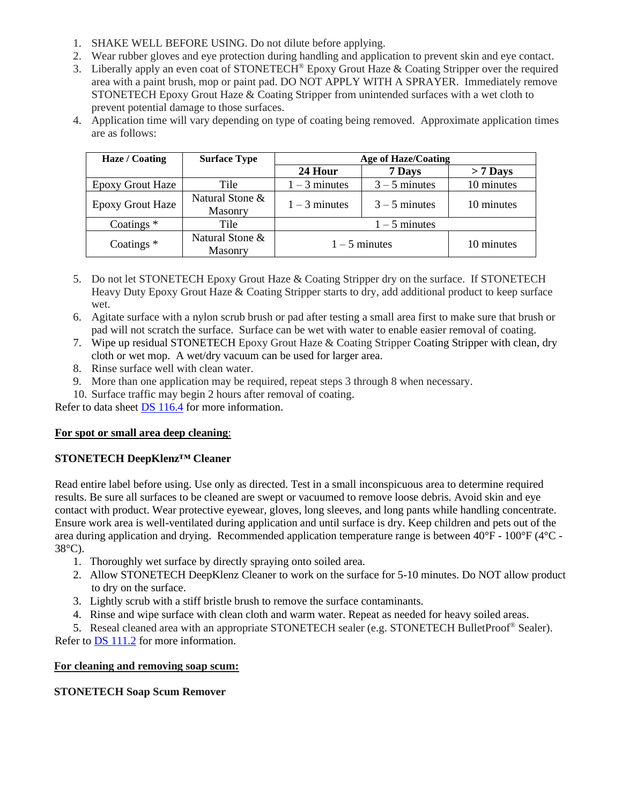- 1. SHAKE WELL BEFORE USING. Do not dilute before applying.
- 2. Wear rubber gloves and eye protection during handling and application to prevent skin and eye contact.
- 3. Liberally apply an even coat of STONETECH<sup>®</sup> Epoxy Grout Haze & Coating Stripper over the required area with a paint brush, mop or paint pad. DO NOT APPLY WITH A SPRAYER. Immediately remove STONETECH Epoxy Grout Haze & Coating Stripper from unintended surfaces with a wet cloth to prevent potential damage to those surfaces.
- 4. Application time will vary depending on type of coating being removed. Approximate application times are as follows:

| Haze / Coating          | <b>Surface Type</b>               | <b>Age of Haze/Coating</b> |                 |            |
|-------------------------|-----------------------------------|----------------------------|-----------------|------------|
|                         |                                   | 24 Hour                    | 7 Days          | $> 7$ Days |
| <b>Epoxy Grout Haze</b> | Tile                              | $1 - 3$ minutes            | $3 - 5$ minutes | 10 minutes |
| <b>Epoxy Grout Haze</b> | Natural Stone &<br>Masonry        | $1 - 3$ minutes            | $3 - 5$ minutes | 10 minutes |
| Coatings $*$            | Tile                              | $1 - 5$ minutes            |                 |            |
| Coatings $*$            | Natural Stone &<br><b>Masonry</b> |                            | $1 - 5$ minutes | 10 minutes |

- 5. Do not let STONETECH Epoxy Grout Haze & Coating Stripper dry on the surface. If STONETECH Heavy Duty Epoxy Grout Haze & Coating Stripper starts to dry, add additional product to keep surface wet.
- 6. Agitate surface with a nylon scrub brush or pad after testing a small area first to make sure that brush or pad will not scratch the surface. Surface can be wet with water to enable easier removal of coating.
- 7. Wipe up residual STONETECH Epoxy Grout Haze & Coating Stripper Coating Stripper with clean, dry cloth or wet mop. A wet/dry vacuum can be used for larger area.
- 8. Rinse surface well with clean water.
- 9. More than one application may be required, repeat steps 3 through 8 when necessary.
- 10. Surface traffic may begin 2 hours after removal of coating.

Refer to data sheet **DS** 116.4 for more information.

# **For spot or small area deep cleaning**:

# **STONETECH DeepKlenz™ Cleaner**

Read entire label before using. Use only as directed. Test in a small inconspicuous area to determine required results. Be sure all surfaces to be cleaned are swept or vacuumed to remove loose debris. Avoid skin and eye contact with product. Wear protective eyewear, gloves, long sleeves, and long pants while handling concentrate. Ensure work area is well-ventilated during application and until surface is dry. Keep children and pets out of the area during application and drying. Recommended application temperature range is between 40°F - 100°F (4°C - 38°C).

- 1. Thoroughly wet surface by directly spraying onto soiled area.
- 2. Allow STONETECH DeepKlenz Cleaner to work on the surface for 5-10 minutes. Do NOT allow product to dry on the surface.
- 3. Lightly scrub with a stiff bristle brush to remove the surface contaminants.
- 4. Rinse and wipe surface with clean cloth and warm water. Repeat as needed for heavy soiled areas.
- 5. Reseal cleaned area with an appropriate STONETECH sealer (e.g. STONETECH BulletProof<sup>®</sup> Sealer).

Refer to DS [111.2](https://cdn.laticrete.com/~/media/product-documents/product-data-sheets/ds-1112.ashx) for more information.

# **For cleaning and removing soap scum:**

**STONETECH Soap Scum Remover**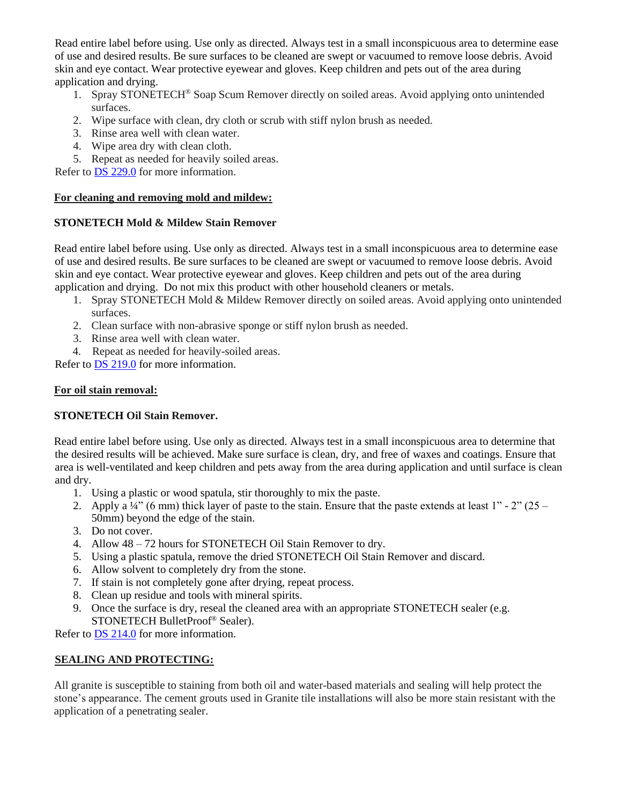Read entire label before using. Use only as directed. Always test in a small inconspicuous area to determine ease of use and desired results. Be sure surfaces to be cleaned are swept or vacuumed to remove loose debris. Avoid skin and eye contact. Wear protective eyewear and gloves. Keep children and pets out of the area during application and drying.

- 1. Spray STONETECH® Soap Scum Remover directly on soiled areas. Avoid applying onto unintended surfaces.
- 2. Wipe surface with clean, dry cloth or scrub with stiff nylon brush as needed.
- 3. Rinse area well with clean water.
- 4. Wipe area dry with clean cloth.
- 5. Repeat as needed for heavily soiled areas.

Refer to DS [229.0](https://cdn.laticrete.com/~/media/product-documents/product-data-sheets/ds-229.ashx) for more information.

#### **For cleaning and removing mold and mildew:**

# **STONETECH Mold & Mildew Stain Remover**

Read entire label before using. Use only as directed. Always test in a small inconspicuous area to determine ease of use and desired results. Be sure surfaces to be cleaned are swept or vacuumed to remove loose debris. Avoid skin and eye contact. Wear protective eyewear and gloves. Keep children and pets out of the area during application and drying. Do not mix this product with other household cleaners or metals.

- 1. Spray STONETECH Mold & Mildew Remover directly on soiled areas. Avoid applying onto unintended surfaces.
- 2. Clean surface with non-abrasive sponge or stiff nylon brush as needed.
- 3. Rinse area well with clean water.
- 4. Repeat as needed for heavily-soiled areas.

Refer to [DS 219.0](https://cdn.laticrete.com/~/media/product-documents/product-data-sheets/ds-219.ashx) for more information.

# **For oil stain removal:**

# **STONETECH Oil Stain Remover.**

Read entire label before using. Use only as directed. Always test in a small inconspicuous area to determine that the desired results will be achieved. Make sure surface is clean, dry, and free of waxes and coatings. Ensure that area is well-ventilated and keep children and pets away from the area during application and until surface is clean and dry.

- 1. Using a plastic or wood spatula, stir thoroughly to mix the paste.
- 2. Apply a  $\frac{1}{4}$  (6 mm) thick layer of paste to the stain. Ensure that the paste extends at least 1" 2" (25 50mm) beyond the edge of the stain.
- 3. Do not cover.
- 4. Allow 48 72 hours for STONETECH Oil Stain Remover to dry.
- 5. Using a plastic spatula, remove the dried STONETECH Oil Stain Remover and discard.
- 6. Allow solvent to completely dry from the stone.
- 7. If stain is not completely gone after drying, repeat process.
- 8. Clean up residue and tools with mineral spirits.
- 9. Once the surface is dry, reseal the cleaned area with an appropriate STONETECH sealer (e.g. STONETECH BulletProof® Sealer).

Refer to [DS 214.0](https://cdn.laticrete.com/~/media/product-documents/product-data-sheets/ds-214.ashx) for more information.

# **SEALING AND PROTECTING:**

All granite is susceptible to staining from both oil and water-based materials and sealing will help protect the stone's appearance. The cement grouts used in Granite tile installations will also be more stain resistant with the application of a penetrating sealer.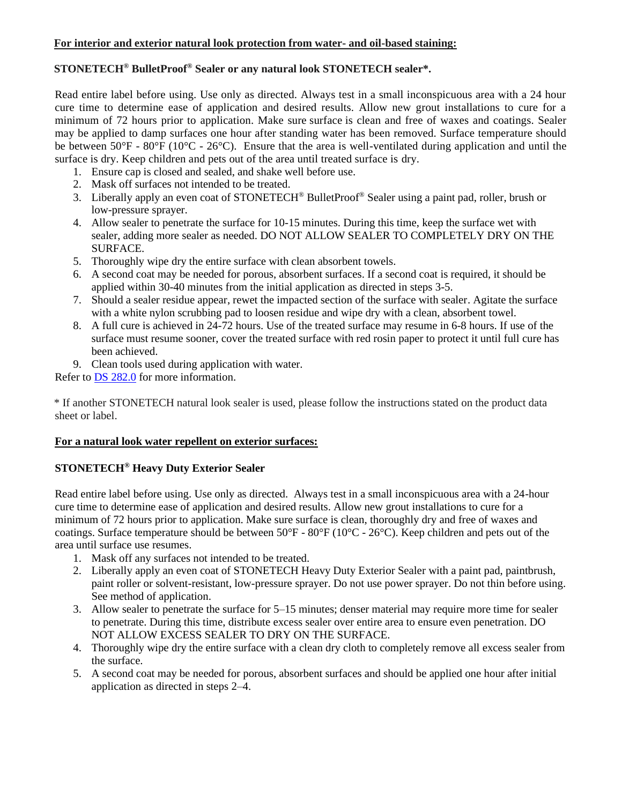#### **For interior and exterior natural look protection from water- and oil-based staining:**

#### **STONETECH® BulletProof® Sealer or any natural look STONETECH sealer\*.**

Read entire label before using. Use only as directed. Always test in a small inconspicuous area with a 24 hour cure time to determine ease of application and desired results. Allow new grout installations to cure for a minimum of 72 hours prior to application. Make sure surface is clean and free of waxes and coatings. Sealer may be applied to damp surfaces one hour after standing water has been removed. Surface temperature should be between 50°F - 80°F (10°C - 26°C). Ensure that the area is well-ventilated during application and until the surface is dry. Keep children and pets out of the area until treated surface is dry.

- 1. Ensure cap is closed and sealed, and shake well before use.
- 2. Mask off surfaces not intended to be treated.
- 3. Liberally apply an even coat of STONETECH® BulletProof® Sealer using a paint pad, roller, brush or low-pressure sprayer.
- 4. Allow sealer to penetrate the surface for 10-15 minutes. During this time, keep the surface wet with sealer, adding more sealer as needed. DO NOT ALLOW SEALER TO COMPLETELY DRY ON THE SURFACE.
- 5. Thoroughly wipe dry the entire surface with clean absorbent towels.
- 6. A second coat may be needed for porous, absorbent surfaces. If a second coat is required, it should be applied within 30-40 minutes from the initial application as directed in steps 3-5.
- 7. Should a sealer residue appear, rewet the impacted section of the surface with sealer. Agitate the surface with a white nylon scrubbing pad to loosen residue and wipe dry with a clean, absorbent towel.
- 8. A full cure is achieved in 24-72 hours. Use of the treated surface may resume in 6-8 hours. If use of the surface must resume sooner, cover the treated surface with red rosin paper to protect it until full cure has been achieved.
- 9. Clean tools used during application with water.

Refer to DS [282.0](https://cdn.laticrete.com/~/media/product-documents/product-data-sheets/ds-282.ashx) for more information.

\* If another STONETECH natural look sealer is used, please follow the instructions stated on the product data sheet or label.

# **For a natural look water repellent on exterior surfaces:**

# **STONETECH® Heavy Duty Exterior Sealer**

Read entire label before using. Use only as directed. Always test in a small inconspicuous area with a 24-hour cure time to determine ease of application and desired results. Allow new grout installations to cure for a minimum of 72 hours prior to application. Make sure surface is clean, thoroughly dry and free of waxes and coatings. Surface temperature should be between 50°F - 80°F (10°C - 26°C). Keep children and pets out of the area until surface use resumes.

- 1. Mask off any surfaces not intended to be treated.
- 2. Liberally apply an even coat of STONETECH Heavy Duty Exterior Sealer with a paint pad, paintbrush, paint roller or solvent-resistant, low-pressure sprayer. Do not use power sprayer. Do not thin before using. See method of application.
- 3. Allow sealer to penetrate the surface for 5–15 minutes; denser material may require more time for sealer to penetrate. During this time, distribute excess sealer over entire area to ensure even penetration. DO NOT ALLOW EXCESS SEALER TO DRY ON THE SURFACE.
- 4. Thoroughly wipe dry the entire surface with a clean dry cloth to completely remove all excess sealer from the surface.
- 5. A second coat may be needed for porous, absorbent surfaces and should be applied one hour after initial application as directed in steps 2–4.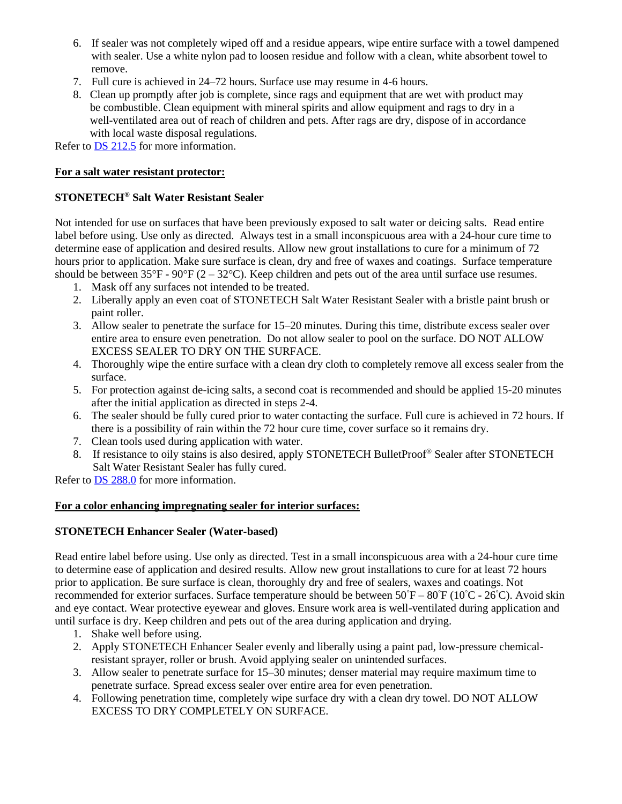- 6. If sealer was not completely wiped off and a residue appears, wipe entire surface with a towel dampened with sealer. Use a white nylon pad to loosen residue and follow with a clean, white absorbent towel to remove.
- 7. Full cure is achieved in 24–72 hours. Surface use may resume in 4-6 hours.
- 8. Clean up promptly after job is complete, since rags and equipment that are wet with product may be combustible. Clean equipment with mineral spirits and allow equipment and rags to dry in a well-ventilated area out of reach of children and pets. After rags are dry, dispose of in accordance with local waste disposal regulations.

Refer to DS [212.5](https://cdn.laticrete.com/~/media/product-documents/product-data-sheets/ds-2125.ashx) for more information.

#### **For a salt water resistant protector:**

#### **STONETECH® Salt Water Resistant Sealer**

Not intended for use on surfaces that have been previously exposed to salt water or deicing salts. Read entire label before using. Use only as directed. Always test in a small inconspicuous area with a 24-hour cure time to determine ease of application and desired results. Allow new grout installations to cure for a minimum of 72 hours prior to application. Make sure surface is clean, dry and free of waxes and coatings. Surface temperature should be between  $35^{\circ}F - 90^{\circ}F (2 - 32^{\circ}C)$ . Keep children and pets out of the area until surface use resumes.

- 1. Mask off any surfaces not intended to be treated.
- 2. Liberally apply an even coat of STONETECH Salt Water Resistant Sealer with a bristle paint brush or paint roller.
- 3. Allow sealer to penetrate the surface for 15–20 minutes. During this time, distribute excess sealer over entire area to ensure even penetration. Do not allow sealer to pool on the surface. DO NOT ALLOW EXCESS SEALER TO DRY ON THE SURFACE.
- 4. Thoroughly wipe the entire surface with a clean dry cloth to completely remove all excess sealer from the surface.
- 5. For protection against de-icing salts, a second coat is recommended and should be applied 15-20 minutes after the initial application as directed in steps 2-4.
- 6. The sealer should be fully cured prior to water contacting the surface. Full cure is achieved in 72 hours. If there is a possibility of rain within the 72 hour cure time, cover surface so it remains dry.
- 7. Clean tools used during application with water.
- 8. If resistance to oily stains is also desired, apply STONETECH BulletProof<sup>®</sup> Sealer after STONETECH Salt Water Resistant Sealer has fully cured.

Refer to DS [288.0](https://cdn.laticrete.com/~/media/product-documents/product-data-sheets/ds-288.ashx) for more information.

#### **For a color enhancing impregnating sealer for interior surfaces:**

#### **STONETECH Enhancer Sealer (Water-based)**

Read entire label before using. Use only as directed. Test in a small inconspicuous area with a 24-hour cure time to determine ease of application and desired results. Allow new grout installations to cure for at least 72 hours prior to application. Be sure surface is clean, thoroughly dry and free of sealers, waxes and coatings. Not recommended for exterior surfaces. Surface temperature should be between  $50^{\circ}F - 80^{\circ}F (10^{\circ}C - 26^{\circ}C)$ . Avoid skin and eye contact. Wear protective eyewear and gloves. Ensure work area is well-ventilated during application and until surface is dry. Keep children and pets out of the area during application and drying.

- 1. Shake well before using.
- 2. Apply STONETECH Enhancer Sealer evenly and liberally using a paint pad, low-pressure chemicalresistant sprayer, roller or brush. Avoid applying sealer on unintended surfaces.
- 3. Allow sealer to penetrate surface for 15–30 minutes; denser material may require maximum time to penetrate surface. Spread excess sealer over entire area for even penetration.
- 4. Following penetration time, completely wipe surface dry with a clean dry towel. DO NOT ALLOW EXCESS TO DRY COMPLETELY ON SURFACE.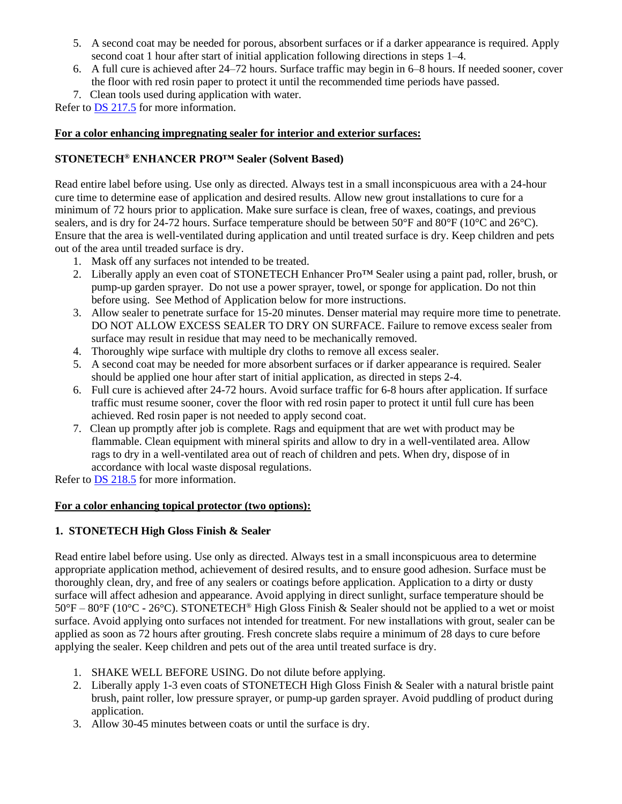- 5. A second coat may be needed for porous, absorbent surfaces or if a darker appearance is required. Apply second coat 1 hour after start of initial application following directions in steps 1–4.
- 6. A full cure is achieved after 24–72 hours. Surface traffic may begin in 6–8 hours. If needed sooner, cover the floor with red rosin paper to protect it until the recommended time periods have passed.
- 7. Clean tools used during application with water.

Refer to [DS 217.5](https://cdn.laticrete.com/~/media/product-documents/product-data-sheets/ds-2175.ashx) for more information.

# **For a color enhancing impregnating sealer for interior and exterior surfaces:**

# **STONETECH® ENHANCER PRO™ Sealer (Solvent Based)**

Read entire label before using. Use only as directed. Always test in a small inconspicuous area with a 24-hour cure time to determine ease of application and desired results. Allow new grout installations to cure for a minimum of 72 hours prior to application. Make sure surface is clean, free of waxes, coatings, and previous sealers, and is dry for 24-72 hours. Surface temperature should be between 50°F and 80°F (10°C and 26°C). Ensure that the area is well-ventilated during application and until treated surface is dry. Keep children and pets out of the area until treaded surface is dry.

- 1. Mask off any surfaces not intended to be treated.
- 2. Liberally apply an even coat of STONETECH Enhancer Pro<sup>TM</sup> Sealer using a paint pad, roller, brush, or pump-up garden sprayer. Do not use a power sprayer, towel, or sponge for application. Do not thin before using. See Method of Application below for more instructions.
- 3. Allow sealer to penetrate surface for 15-20 minutes. Denser material may require more time to penetrate. DO NOT ALLOW EXCESS SEALER TO DRY ON SURFACE. Failure to remove excess sealer from surface may result in residue that may need to be mechanically removed.
- 4. Thoroughly wipe surface with multiple dry cloths to remove all excess sealer.
- 5. A second coat may be needed for more absorbent surfaces or if darker appearance is required. Sealer should be applied one hour after start of initial application, as directed in steps 2-4.
- 6. Full cure is achieved after 24-72 hours. Avoid surface traffic for 6-8 hours after application. If surface traffic must resume sooner, cover the floor with red rosin paper to protect it until full cure has been achieved. Red rosin paper is not needed to apply second coat.
- 7. Clean up promptly after job is complete. Rags and equipment that are wet with product may be flammable. Clean equipment with mineral spirits and allow to dry in a well-ventilated area. Allow rags to dry in a well-ventilated area out of reach of children and pets. When dry, dispose of in accordance with local waste disposal regulations.

Refer to DS [218.5](https://cdn.laticrete.com/~/media/product-documents/product-data-sheets/ds-2185.ashx) for more information.

# **For a color enhancing topical protector (two options):**

# **1. STONETECH High Gloss Finish & Sealer**

Read entire label before using. Use only as directed. Always test in a small inconspicuous area to determine appropriate application method, achievement of desired results, and to ensure good adhesion. Surface must be thoroughly clean, dry, and free of any sealers or coatings before application. Application to a dirty or dusty surface will affect adhesion and appearance. Avoid applying in direct sunlight, surface temperature should be  $50^{\circ}F - 80^{\circ}F (10^{\circ}C - 26^{\circ}C)$ . STONETECH<sup>®</sup> High Gloss Finish & Sealer should not be applied to a wet or moist surface. Avoid applying onto surfaces not intended for treatment. For new installations with grout, sealer can be applied as soon as 72 hours after grouting. Fresh concrete slabs require a minimum of 28 days to cure before applying the sealer. Keep children and pets out of the area until treated surface is dry.

- 1. SHAKE WELL BEFORE USING. Do not dilute before applying.
- 2. Liberally apply 1-3 even coats of STONETECH High Gloss Finish & Sealer with a natural bristle paint brush, paint roller, low pressure sprayer, or pump-up garden sprayer. Avoid puddling of product during application.
- 3. Allow 30-45 minutes between coats or until the surface is dry.